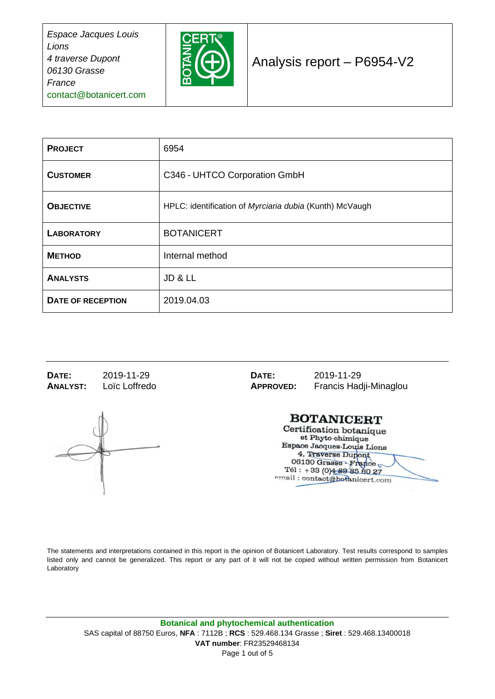

### Analysis report – P6954-V2

| <b>PROJECT</b>           | 6954                                                    |  |
|--------------------------|---------------------------------------------------------|--|
| <b>CUSTOMER</b>          | C346 - UHTCO Corporation GmbH                           |  |
| <b>OBJECTIVE</b>         | HPLC: identification of Myrciaria dubia (Kunth) McVaugh |  |
| <b>LABORATORY</b>        | <b>BOTANICERT</b>                                       |  |
| <b>METHOD</b>            | Internal method                                         |  |
| <b>ANALYSTS</b>          | JD & LL                                                 |  |
| <b>DATE OF RECEPTION</b> | 2019.04.03                                              |  |

**DATE:** 2019-11-29 **DATE:** 2019-11-29<br> **ANALYST:** Loïc Loffredo **APPROVED:** Francis Hac

**ANALYST:** Loïc Loffredo **APPROVED:** Francis Hadji-Minaglou

#### **BOTANICERT**

Certification botanique et Phyto-chimique Espace Jacques-Louis Lions 4, Traverse Dupont 06130 Grasse - France Tél: +33 (0)4 89 85 60 27 email: contact@botanicert.com

The statements and interpretations contained in this report is the opinion of Botanicert Laboratory. Test results correspond to samples listed only and cannot be generalized. This report or any part of it will not be copied without written permission from Botanicert Laboratory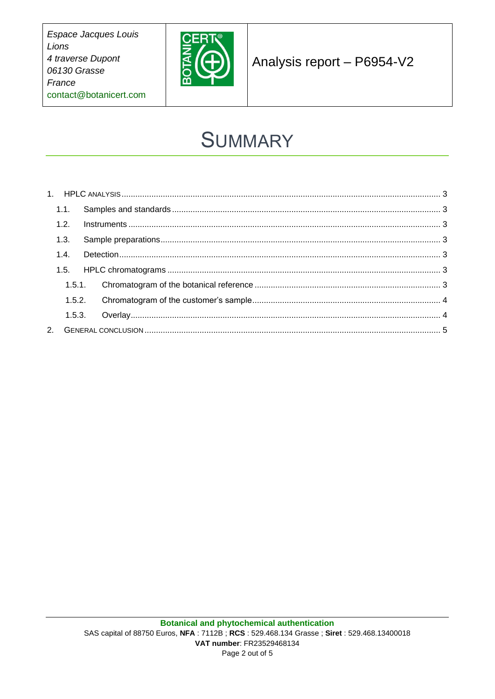

Analysis report - P6954-V2

# **SUMMARY**

| 1.1. |      |  |  |  |
|------|------|--|--|--|
|      | 1.2. |  |  |  |
|      | 1.3. |  |  |  |
|      | 1.4. |  |  |  |
|      |      |  |  |  |
|      |      |  |  |  |
|      |      |  |  |  |
|      |      |  |  |  |
|      |      |  |  |  |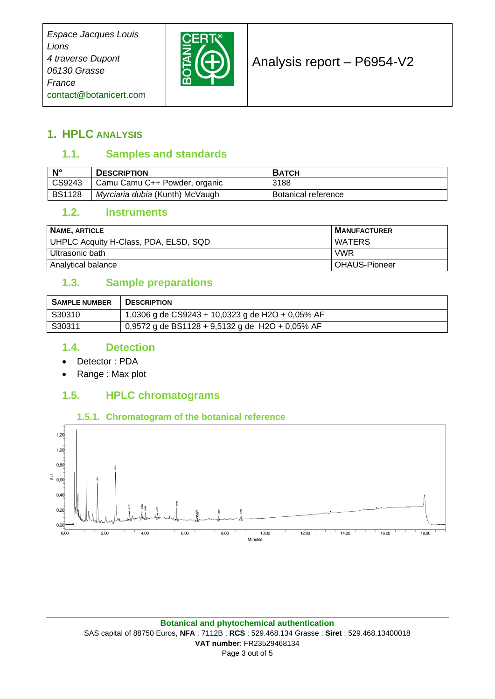

### Analysis report – P6954-V2

#### <span id="page-2-1"></span><span id="page-2-0"></span>**1. HPLC ANALYSIS**

#### **1.1. Samples and standards**

| $\mathsf{N}^\circ$              | <b>DESCRIPTION</b>              | <b>BATCH</b>        |
|---------------------------------|---------------------------------|---------------------|
| $\textcolor{red}{\big }$ CS9243 | Camu Camu C++ Powder, organic   | 3188                |
| <b>BS1128</b>                   | Myrciaria dubia (Kunth) McVaugh | Botanical reference |

#### <span id="page-2-2"></span>**1.2. Instruments**

| NAME, ARTICLE                         | <b>MANUFACTURER</b> |
|---------------------------------------|---------------------|
| UHPLC Acquity H-Class, PDA, ELSD, SQD | I WATERS            |
| l Ultrasonic bath                     | <b>VWR</b>          |
| Analytical balance                    | l OHAUS-Pioneer     |

#### <span id="page-2-3"></span>**1.3. Sample preparations**

| <b>SAMPLE NUMBER</b> | <b>DESCRIPTION</b>                                      |
|----------------------|---------------------------------------------------------|
| S30310               | 1,0306 g de CS9243 + 10,0323 g de H2O + 0,05% AF        |
| S30311               | $\vert$ 0,9572 g de BS1128 + 9,5132 g de H2O + 0,05% AF |

#### <span id="page-2-4"></span>**1.4. Detection**

- Detector : PDA
- Range : Max plot

#### <span id="page-2-5"></span>**1.5. HPLC chromatograms**

#### **1.5.1. Chromatogram of the botanical reference**

<span id="page-2-6"></span>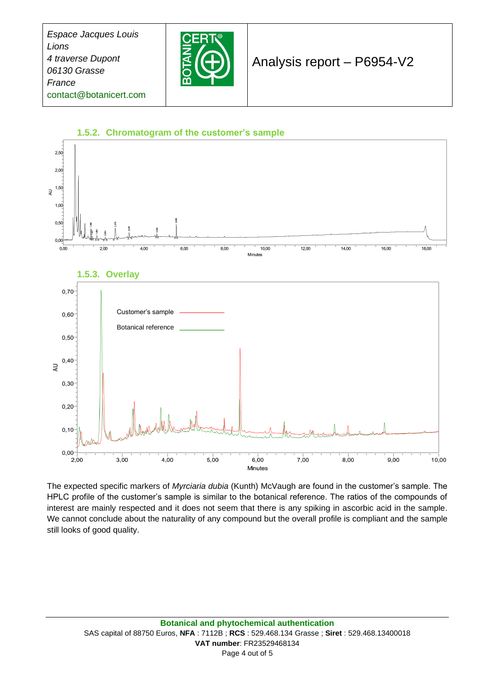

### Analysis report – P6954-V2

<span id="page-3-1"></span><span id="page-3-0"></span>

The expected specific markers of *Myrciaria dubia* (Kunth) McVaugh are found in the customer's sample. The HPLC profile of the customer's sample is similar to the botanical reference. The ratios of the compounds of interest are mainly respected and it does not seem that there is any spiking in ascorbic acid in the sample. We cannot conclude about the naturality of any compound but the overall profile is compliant and the sample still looks of good quality.